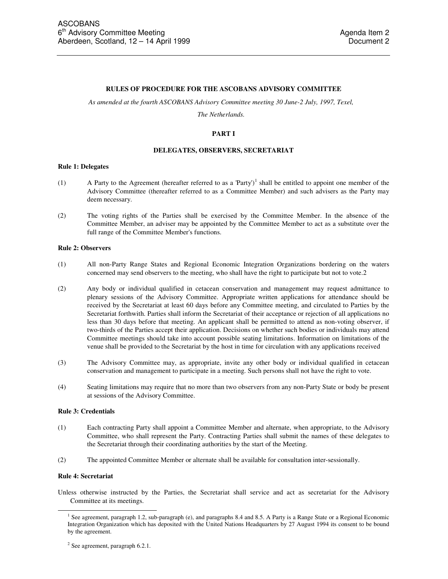#### **RULES OF PROCEDURE FOR THE ASCOBANS ADVISORY COMMITTEE**

*As amended at the fourth ASCOBANS Advisory Committee meeting 30 June-2 July, 1997, Texel,* 

*The Netherlands.* 

## **PART I**

### **DELEGATES, OBSERVERS, SECRETARIAT**

### **Rule 1: Delegates**

- (1) A Party to the Agreement (hereafter referred to as a 'Party')<sup>1</sup> shall be entitled to appoint one member of the Advisory Committee (thereafter referred to as a Committee Member) and such advisers as the Party may deem necessary.
- (2) The voting rights of the Parties shall be exercised by the Committee Member. In the absence of the Committee Member, an adviser may be appointed by the Committee Member to act as a substitute over the full range of the Committee Member's functions.

#### **Rule 2: Observers**

- (1) All non-Party Range States and Regional Economic Integration Organizations bordering on the waters concerned may send observers to the meeting, who shall have the right to participate but not to vote.2
- (2) Any body or individual qualified in cetacean conservation and management may request admittance to plenary sessions of the Advisory Committee. Appropriate written applications for attendance should be received by the Secretariat at least 60 days before any Committee meeting, and circulated to Parties by the Secretariat forthwith. Parties shall inform the Secretariat of their acceptance or rejection of all applications no less than 30 days before that meeting. An applicant shall be permitted to attend as non-voting observer, if two-thirds of the Parties accept their application. Decisions on whether such bodies or individuals may attend Committee meetings should take into account possible seating limitations. Information on limitations of the venue shall be provided to the Secretariat by the host in time for circulation with any applications received
- (3) The Advisory Committee may, as appropriate, invite any other body or individual qualified in cetacean conservation and management to participate in a meeting. Such persons shall not have the right to vote.
- (4) Seating limitations may require that no more than two observers from any non-Party State or body be present at sessions of the Advisory Committee.

#### **Rule 3: Credentials**

- (1) Each contracting Party shall appoint a Committee Member and alternate, when appropriate, to the Advisory Committee, who shall represent the Party. Contracting Parties shall submit the names of these delegates to the Secretariat through their coordinating authorities by the start of the Meeting.
- (2) The appointed Committee Member or alternate shall be available for consultation inter-sessionally.

#### **Rule 4: Secretariat**

 $\overline{a}$ 

Unless otherwise instructed by the Parties, the Secretariat shall service and act as secretariat for the Advisory Committee at its meetings.

<sup>&</sup>lt;sup>1</sup> See agreement, paragraph 1.2, sub-paragraph (e), and paragraphs 8.4 and 8.5. A Party is a Range State or a Regional Economic Integration Organization which has deposited with the United Nations Headquarters by 27 August 1994 its consent to be bound by the agreement.

<sup>&</sup>lt;sup>2</sup> See agreement, paragraph 6.2.1.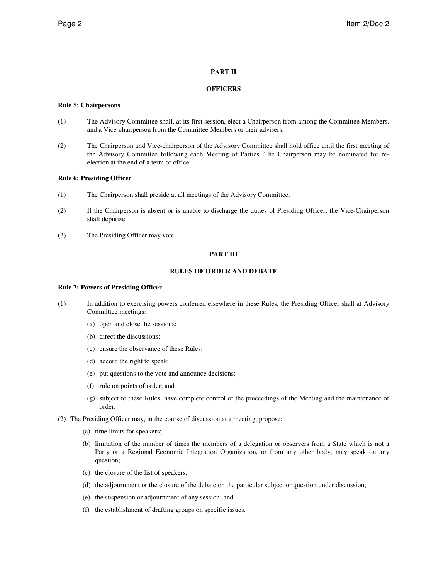# **PART II**

## **OFFICERS**

### **Rule 5: Chairpersons**

- (1) The Advisory Committee shall, at its first session, elect a Chairperson from among the Committee Members, and a Vice-chairperson from the Committee Members or their advisers.
- (2) The Chairperson and Vice-chairperson of the Advisory Committee shall hold office until the first meeting of the Advisory Committee following each Meeting of Parties. The Chairperson may be nominated for reelection at the end of a term of office.

## **Rule 6: Presiding Officer**

- (1) The Chairperson shall preside at all meetings of the Advisory Committee.
- (2) If the Chairperson is absent or is unable to discharge the duties of Presiding Officer**,** the Vice-Chairperson shall deputize.
- (3) The Presiding Officer may vote.

# **PART III**

# **RULES OF ORDER AND DEBATE**

### **Rule 7: Powers of Presiding Officer**

- (1) In addition to exercising powers conferred elsewhere in these Rules, the Presiding Officer shall at Advisory Committee meetings:
	- (a) open and close the sessions;
	- (b) direct the discussions;
	- (c) ensure the observance of these Rules;
	- (d) accord the right to speak;
	- (e) put questions to the vote and announce decisions;
	- (f) rule on points of order; and
	- (g) subject to these Rules, have complete control of the proceedings of the Meeting and the maintenance of order.
- (2) The Presiding Officer may, in the course of discussion at a meeting, propose:
	- (a) time limits for speakers;
	- (b) limitation of the number of times the members of a delegation or observers from a State which is not a Party or a Regional Economic Integration Organization, or from any other body, may speak on any question;
	- (c) the closure of the list of speakers;
	- (d) the adjournment or the closure of the debate on the particular subject or question under discussion;
	- (e) the suspension or adjournment of any session; and
	- (f) the establishment of drafting groups on specific issues.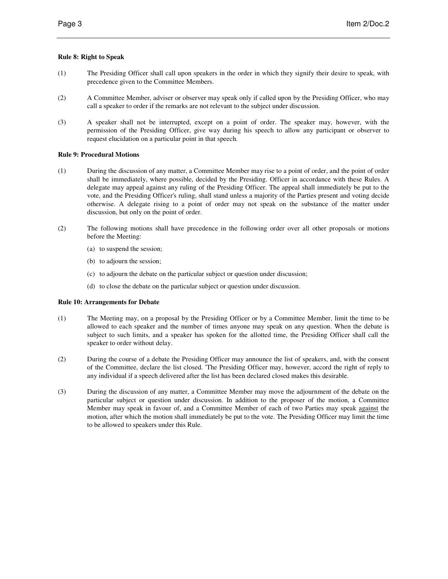# **Rule 8: Right to Speak**

- (1) The Presiding Officer shall call upon speakers in the order in which they signify their desire to speak, with precedence given to the Committee Members.
- (2) A Committee Member, adviser or observer may speak only if called upon by the Presiding Officer, who may call a speaker to order if the remarks are not relevant to the subject under discussion.
- (3) A speaker shall not be interrupted, except on a point of order. The speaker may, however, with the permission of the Presiding Officer, give way during his speech to allow any participant or observer to request elucidation on a particular point in that speech.

# **Rule 9: Procedural Motions**

- (1) During the discussion of any matter, a Committee Member may rise to a point of order, and the point of order shall be immediately, where possible, decided by the Presiding. Officer in accordance with these Rules. A delegate may appeal against any ruling of the Presiding Officer. The appeal shall immediately be put to the vote, and the Presiding Officer's ruling, shall stand unless a majority of the Parties present and voting decide otherwise. A delegate rising to a point of order may not speak on the substance of the matter under discussion, but only on the point of order.
- (2) The following motions shall have precedence in the following order over all other proposals or motions before the Meeting:
	- (a) to suspend the session;
	- (b) to adjourn the session;
	- (c) to adjourn the debate on the particular subject or question under discussion;
	- (d) to close the debate on the particular subject or question under discussion.

# **Rule 10: Arrangements for Debate**

- (1) The Meeting may, on a proposal by the Presiding Officer or by a Committee Member, limit the time to be allowed to each speaker and the number of times anyone may speak on any question. When the debate is subject to such limits, and a speaker has spoken for the allotted time, the Presiding Officer shall call the speaker to order without delay.
- (2) During the course of a debate the Presiding Officer may announce the list of speakers, and, with the consent of the Committee, declare the list closed. 'The Presiding Officer may, however, accord the right of reply to any individual if a speech delivered after the list has been declared closed makes this desirable.
- (3) During the discussion of any matter, a Committee Member may move the adjournment of the debate on the particular subject or question under discussion. In addition to the proposer of the motion, a Committee Member may speak in favour of, and a Committee Member of each of two Parties may speak against the motion, after which the motion shall immediately be put to the vote. The Presiding Officer may limit the time to be allowed to speakers under this Rule.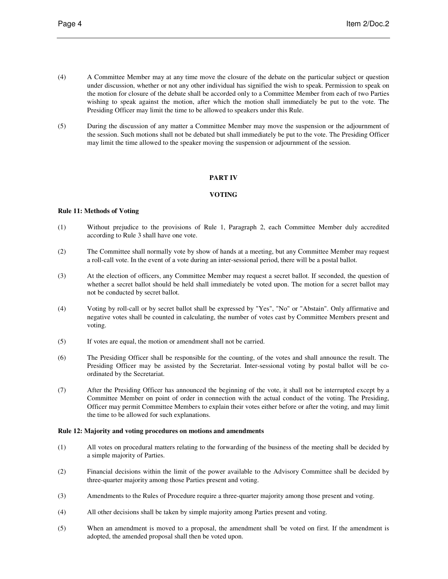- (4) A Committee Member may at any time move the closure of the debate on the particular subject or question under discussion, whether or not any other individual has signified the wish to speak. Permission to speak on the motion for closure of the debate shall be accorded only to a Committee Member from each of two Parties wishing to speak against the motion, after which the motion shall immediately be put to the vote. The Presiding Officer may limit the time to be allowed to speakers under this Rule.
- (5) During the discussion of any matter a Committee Member may move the suspension or the adjournment of the session. Such motions shall not be debated but shall immediately be put to the vote. The Presiding Officer may limit the time allowed to the speaker moving the suspension or adjournment of the session.

## **PART IV**

## **VOTING**

# **Rule 11: Methods of Voting**

- (1) Without prejudice to the provisions of Rule 1, Paragraph 2, each Committee Member duly accredited according to Rule 3 shall have one vote.
- (2) The Committee shall normally vote by show of hands at a meeting, but any Committee Member may request a roll-call vote. In the event of a vote during an inter-sessional period, there will be a postal ballot.
- (3) At the election of officers, any Committee Member may request a secret ballot. If seconded, the question of whether a secret ballot should be held shall immediately be voted upon. The motion for a secret ballot may not be conducted by secret ballot.
- (4) Voting by roll-call or by secret ballot shall be expressed by "Yes", "No" or "Abstain". Only affirmative and negative votes shall be counted in calculating, the number of votes cast by Committee Members present and voting.
- (5) If votes are equal, the motion or amendment shall not be carried.
- (6) The Presiding Officer shall be responsible for the counting, of the votes and shall announce the result. The Presiding Officer may be assisted by the Secretariat. Inter-sessional voting by postal ballot will be coordinated by the Secretariat.
- (7) After the Presiding Officer has announced the beginning of the vote, it shall not be interrupted except by a Committee Member on point of order in connection with the actual conduct of the voting. The Presiding, Officer may permit Committee Members to explain their votes either before or after the voting, and may limit the time to be allowed for such explanations.

## **Rule 12: Majority and voting procedures on motions and amendments**

- (1) All votes on procedural matters relating to the forwarding of the business of the meeting shall be decided by a simple majority of Parties.
- (2) Financial decisions within the limit of the power available to the Advisory Committee shall be decided by three-quarter majority among those Parties present and voting.
- (3) Amendments to the Rules of Procedure require a three-quarter majority among those present and voting.
- (4) All other decisions shall be taken by simple majority among Parties present and voting.
- (5) When an amendment is moved to a proposal, the amendment shall 'be voted on first. If the amendment is adopted, the amended proposal shall then be voted upon.